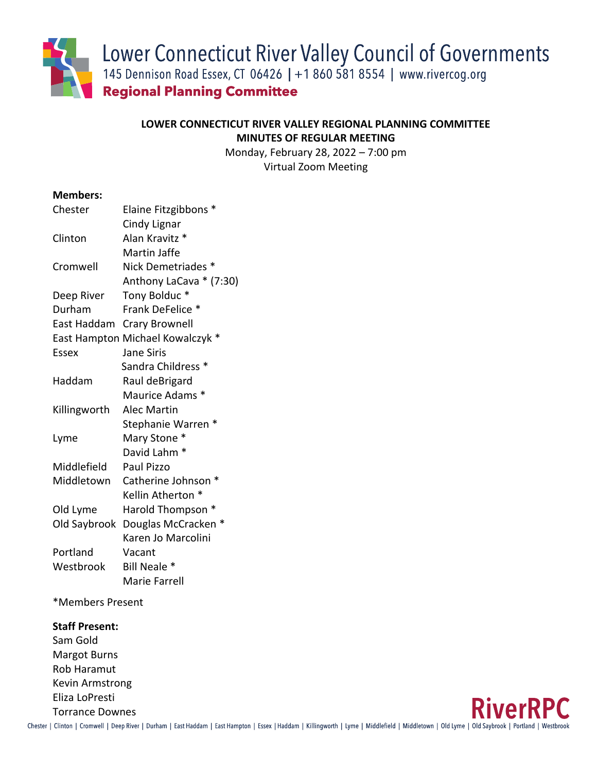Lower Connecticut River Valley Council of Governments

145 Dennison Road Essex, CT 06426 | +1 860 581 8554 | www.rivercog.org

**Regional Planning Committee** 

# **LOWER CONNECTICUT RIVER VALLEY REGIONAL PLANNING COMMITTEE MINUTES OF REGULAR MEETING**

Monday, February 28, 2022 – 7:00 pm Virtual Zoom Meeting

# **Members:**

| Chester      | Elaine Fitzgibbons *             |
|--------------|----------------------------------|
|              | Cindy Lignar                     |
| Clinton      | Alan Kravitz *                   |
|              | Martin Jaffe                     |
| Cromwell     | Nick Demetriades *               |
|              | Anthony LaCava * (7:30)          |
| Deep River   | Tony Bolduc*                     |
| Durham       | Frank DeFelice *                 |
| East Haddam  | <b>Crary Brownell</b>            |
|              | East Hampton Michael Kowalczyk * |
| Essex        | <b>Jane Siris</b>                |
|              | Sandra Childress <sup>*</sup>    |
| Haddam       | Raul deBrigard                   |
|              | Maurice Adams *                  |
| Killingworth | Alec Martin                      |
|              | Stephanie Warren *               |
| Lyme         | Mary Stone *                     |
|              | David Lahm <sup>*</sup>          |
| Middlefield  | Paul Pizzo                       |
| Middletown   | Catherine Johnson *              |
|              | Kellin Atherton *                |
| Old Lyme     | Harold Thompson *                |
| Old Saybrook | Douglas McCracken *              |
|              | Karen Jo Marcolini               |
| Portland     | Vacant                           |
| Westbrook    | Bill Neale *                     |
|              | Marie Farrell                    |

\*Members Present

# **Staff Present:**

Sam Gold Margot Burns Rob Haramut Kevin Armstrong Eliza LoPresti Torrance Downes

**RiverRPC** 

Chester | Clinton | Cromwell | Deep River | Durham | East Haddam | East Hampton | Essex | Haddam | Killingworth | Lyme | Middlefield | Middletown | Old Lyme | Old Saybrook | Portland | Westbrook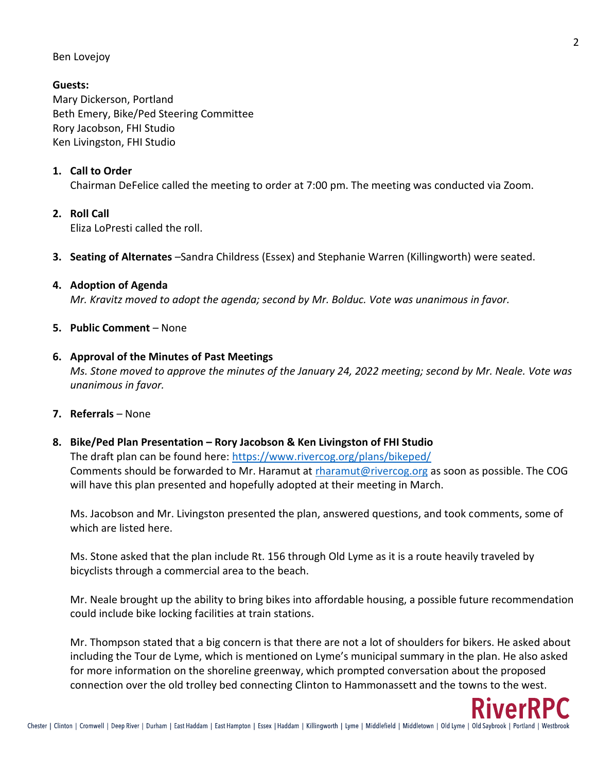## Ben Lovejoy

## **Guests:**

Mary Dickerson, Portland Beth Emery, Bike/Ped Steering Committee Rory Jacobson, FHI Studio Ken Livingston, FHI Studio

## **1. Call to Order**

Chairman DeFelice called the meeting to order at 7:00 pm. The meeting was conducted via Zoom.

## **2. Roll Call**

Eliza LoPresti called the roll.

**3. Seating of Alternates** –Sandra Childress (Essex) and Stephanie Warren (Killingworth) were seated.

#### **4. Adoption of Agenda**

*Mr. Kravitz moved to adopt the agenda; second by Mr. Bolduc. Vote was unanimous in favor.*

## **5. Public Comment** – None

#### **6. Approval of the Minutes of Past Meetings**

*Ms. Stone moved to approve the minutes of the January 24, 2022 meeting; second by Mr. Neale. Vote was unanimous in favor.*

**7. Referrals** – None

## **8. Bike/Ped Plan Presentation – Rory Jacobson & Ken Livingston of FHI Studio**

The draft plan can be found here:<https://www.rivercog.org/plans/bikeped/> Comments should be forwarded to Mr. Haramut at [rharamut@rivercog.org](mailto:rharamut@rivercog.org) as soon as possible. The COG will have this plan presented and hopefully adopted at their meeting in March.

Ms. Jacobson and Mr. Livingston presented the plan, answered questions, and took comments, some of which are listed here.

Ms. Stone asked that the plan include Rt. 156 through Old Lyme as it is a route heavily traveled by bicyclists through a commercial area to the beach.

Mr. Neale brought up the ability to bring bikes into affordable housing, a possible future recommendation could include bike locking facilities at train stations.

Mr. Thompson stated that a big concern is that there are not a lot of shoulders for bikers. He asked about including the Tour de Lyme, which is mentioned on Lyme's municipal summary in the plan. He also asked for more information on the shoreline greenway, which prompted conversation about the proposed connection over the old trolley bed connecting Clinton to Hammonassett and the towns to the west.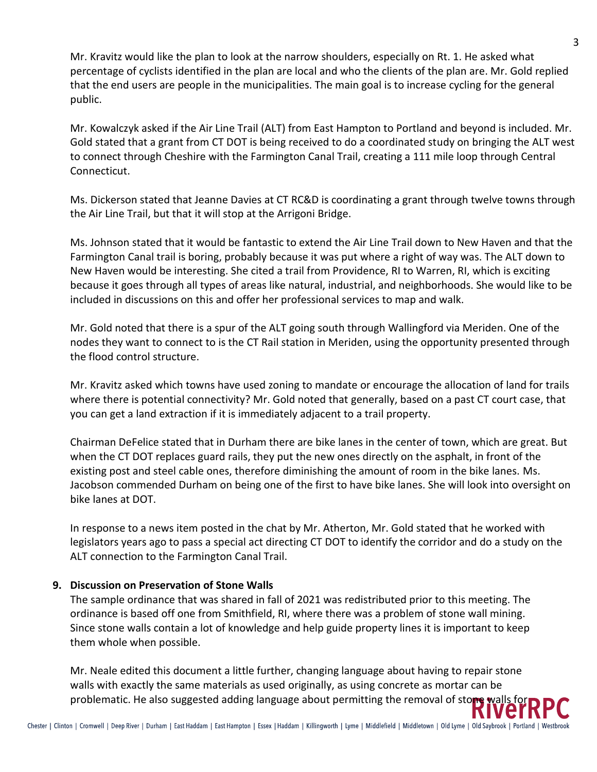Mr. Kravitz would like the plan to look at the narrow shoulders, especially on Rt. 1. He asked what percentage of cyclists identified in the plan are local and who the clients of the plan are. Mr. Gold replied that the end users are people in the municipalities. The main goal is to increase cycling for the general public.

Mr. Kowalczyk asked if the Air Line Trail (ALT) from East Hampton to Portland and beyond is included. Mr. Gold stated that a grant from CT DOT is being received to do a coordinated study on bringing the ALT west to connect through Cheshire with the Farmington Canal Trail, creating a 111 mile loop through Central Connecticut.

Ms. Dickerson stated that Jeanne Davies at CT RC&D is coordinating a grant through twelve towns through the Air Line Trail, but that it will stop at the Arrigoni Bridge.

Ms. Johnson stated that it would be fantastic to extend the Air Line Trail down to New Haven and that the Farmington Canal trail is boring, probably because it was put where a right of way was. The ALT down to New Haven would be interesting. She cited a trail from Providence, RI to Warren, RI, which is exciting because it goes through all types of areas like natural, industrial, and neighborhoods. She would like to be included in discussions on this and offer her professional services to map and walk.

Mr. Gold noted that there is a spur of the ALT going south through Wallingford via Meriden. One of the nodes they want to connect to is the CT Rail station in Meriden, using the opportunity presented through the flood control structure.

Mr. Kravitz asked which towns have used zoning to mandate or encourage the allocation of land for trails where there is potential connectivity? Mr. Gold noted that generally, based on a past CT court case, that you can get a land extraction if it is immediately adjacent to a trail property.

Chairman DeFelice stated that in Durham there are bike lanes in the center of town, which are great. But when the CT DOT replaces guard rails, they put the new ones directly on the asphalt, in front of the existing post and steel cable ones, therefore diminishing the amount of room in the bike lanes. Ms. Jacobson commended Durham on being one of the first to have bike lanes. She will look into oversight on bike lanes at DOT.

In response to a news item posted in the chat by Mr. Atherton, Mr. Gold stated that he worked with legislators years ago to pass a special act directing CT DOT to identify the corridor and do a study on the ALT connection to the Farmington Canal Trail.

# **9. Discussion on Preservation of Stone Walls**

The sample ordinance that was shared in fall of 2021 was redistributed prior to this meeting. The ordinance is based off one from Smithfield, RI, where there was a problem of stone wall mining. Since stone walls contain a lot of knowledge and help guide property lines it is important to keep them whole when possible.

Mr. Neale edited this document a little further, changing language about having to repair stone walls with exactly the same materials as used originally, as using concrete as mortar can be problematic. He also suggested adding language about permitting the removal of stone walls for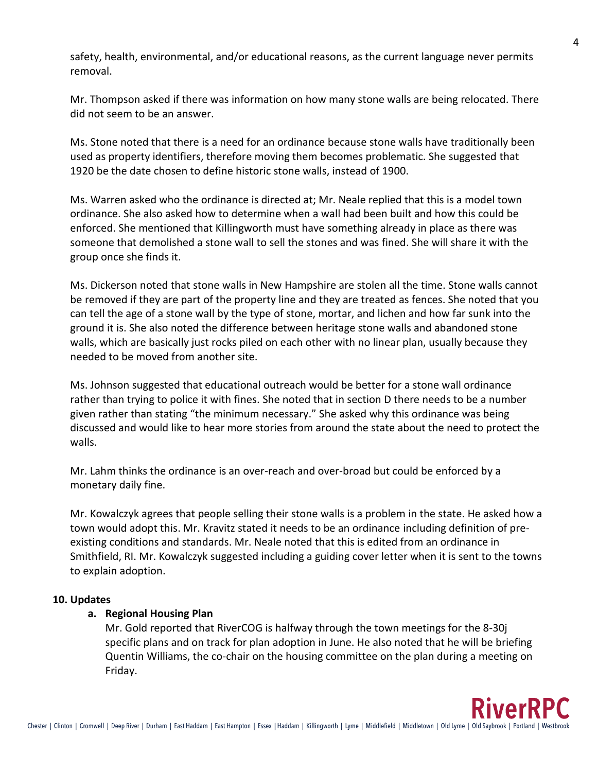safety, health, environmental, and/or educational reasons, as the current language never permits removal.

Mr. Thompson asked if there was information on how many stone walls are being relocated. There did not seem to be an answer.

Ms. Stone noted that there is a need for an ordinance because stone walls have traditionally been used as property identifiers, therefore moving them becomes problematic. She suggested that 1920 be the date chosen to define historic stone walls, instead of 1900.

Ms. Warren asked who the ordinance is directed at; Mr. Neale replied that this is a model town ordinance. She also asked how to determine when a wall had been built and how this could be enforced. She mentioned that Killingworth must have something already in place as there was someone that demolished a stone wall to sell the stones and was fined. She will share it with the group once she finds it.

Ms. Dickerson noted that stone walls in New Hampshire are stolen all the time. Stone walls cannot be removed if they are part of the property line and they are treated as fences. She noted that you can tell the age of a stone wall by the type of stone, mortar, and lichen and how far sunk into the ground it is. She also noted the difference between heritage stone walls and abandoned stone walls, which are basically just rocks piled on each other with no linear plan, usually because they needed to be moved from another site.

Ms. Johnson suggested that educational outreach would be better for a stone wall ordinance rather than trying to police it with fines. She noted that in section D there needs to be a number given rather than stating "the minimum necessary." She asked why this ordinance was being discussed and would like to hear more stories from around the state about the need to protect the walls.

Mr. Lahm thinks the ordinance is an over-reach and over-broad but could be enforced by a monetary daily fine.

Mr. Kowalczyk agrees that people selling their stone walls is a problem in the state. He asked how a town would adopt this. Mr. Kravitz stated it needs to be an ordinance including definition of preexisting conditions and standards. Mr. Neale noted that this is edited from an ordinance in Smithfield, RI. Mr. Kowalczyk suggested including a guiding cover letter when it is sent to the towns to explain adoption.

# **10. Updates**

# **a. Regional Housing Plan**

Mr. Gold reported that RiverCOG is halfway through the town meetings for the 8-30j specific plans and on track for plan adoption in June. He also noted that he will be briefing Quentin Williams, the co-chair on the housing committee on the plan during a meeting on Friday.